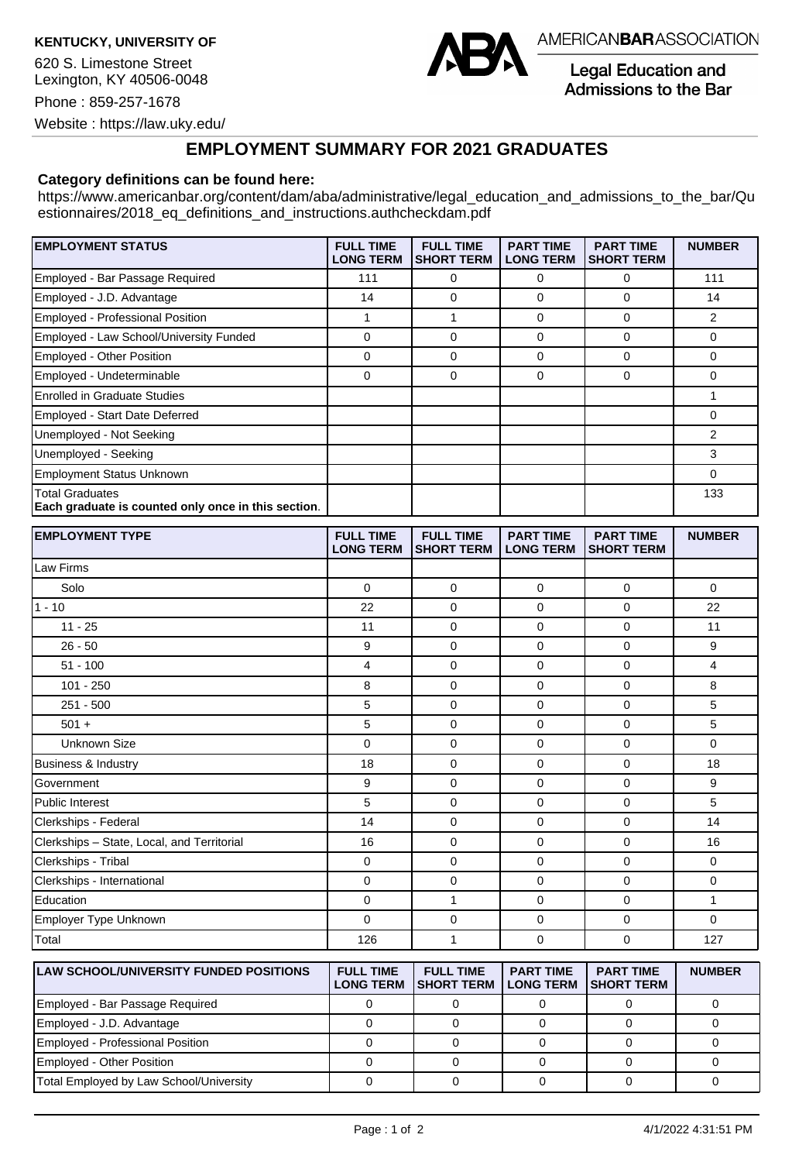**KENTUCKY, UNIVERSITY OF**

620 S. Limestone Street Lexington, KY 40506-0048 Phone : 859-257-1678



AMERICANBARASSOCIATION

**Legal Education and** Admissions to the Bar

Website : https://law.uky.edu/

## **EMPLOYMENT SUMMARY FOR 2021 GRADUATES**

## **Category definitions can be found here:**

https://www.americanbar.org/content/dam/aba/administrative/legal\_education\_and\_admissions\_to\_the\_bar/Qu estionnaires/2018 eq definitions and instructions.authcheckdam.pdf

| <b>EMPLOYMENT STATUS</b>                                                      | <b>FULL TIME</b><br><b>LONG TERM</b> | <b>FULL TIME</b><br><b>SHORT TERM</b> | <b>PART TIME</b><br><b>LONG TERM</b> | <b>PART TIME</b><br><b>SHORT TERM</b> | <b>NUMBER</b> |
|-------------------------------------------------------------------------------|--------------------------------------|---------------------------------------|--------------------------------------|---------------------------------------|---------------|
| Employed - Bar Passage Required                                               | 111                                  | 0                                     | 0                                    | 0                                     | 111           |
| Employed - J.D. Advantage                                                     | 14                                   | 0                                     | 0                                    | 0                                     | 14            |
| Employed - Professional Position                                              |                                      |                                       | $\mathbf 0$                          | 0                                     | 2             |
| Employed - Law School/University Funded                                       | 0                                    | 0                                     | $\Omega$                             | 0                                     | 0             |
| <b>Employed - Other Position</b>                                              | $\Omega$                             | $\Omega$                              | $\Omega$                             | <sup>0</sup>                          | $\Omega$      |
| Employed - Undeterminable                                                     | 0                                    | 0                                     | 0                                    | 0                                     | 0             |
| <b>Enrolled in Graduate Studies</b>                                           |                                      |                                       |                                      |                                       |               |
| Employed - Start Date Deferred                                                |                                      |                                       |                                      |                                       | 0             |
| Unemployed - Not Seeking                                                      |                                      |                                       |                                      |                                       | 2             |
| Unemployed - Seeking                                                          |                                      |                                       |                                      |                                       | 3             |
| <b>Employment Status Unknown</b>                                              |                                      |                                       |                                      |                                       | 0             |
| <b>Total Graduates</b><br>Each graduate is counted only once in this section. |                                      |                                       |                                      |                                       | 133           |

| <b>EMPLOYMENT TYPE</b>                     | <b>FULL TIME</b><br><b>LONG TERM</b> | <b>FULL TIME</b><br><b>SHORT TERM</b> | <b>PART TIME</b><br><b>LONG TERM</b> | <b>PART TIME</b><br><b>SHORT TERM</b> | <b>NUMBER</b>  |
|--------------------------------------------|--------------------------------------|---------------------------------------|--------------------------------------|---------------------------------------|----------------|
| Law Firms                                  |                                      |                                       |                                      |                                       |                |
| Solo                                       | $\mathbf 0$                          | $\overline{0}$                        | 0                                    | $\mathbf 0$                           | $\mathbf 0$    |
| $1 - 10$                                   | 22                                   | $\mathbf 0$                           | $\mathbf 0$                          | $\mathbf 0$                           | 22             |
| $11 - 25$                                  | 11                                   | $\mathbf 0$                           | 0                                    | 0                                     | 11             |
| $26 - 50$                                  | 9                                    | $\mathbf 0$                           | $\mathbf 0$                          | $\mathbf 0$                           | 9              |
| $51 - 100$                                 | $\overline{4}$                       | $\mathbf 0$                           | $\mathbf 0$                          | $\mathbf 0$                           | $\overline{4}$ |
| $101 - 250$                                | 8                                    | $\mathbf 0$                           | $\mathbf 0$                          | $\mathbf 0$                           | 8              |
| $251 - 500$                                | 5                                    | $\mathbf 0$                           | $\mathbf 0$                          | $\mathbf 0$                           | 5              |
| $501 +$                                    | 5                                    | $\overline{0}$                        | 0                                    | $\mathbf 0$                           | 5              |
| Unknown Size                               | $\mathbf 0$                          | $\overline{0}$                        | $\mathbf 0$                          | $\mathbf 0$                           | $\mathbf 0$    |
| Business & Industry                        | 18                                   | $\overline{0}$                        | $\mathbf 0$                          | $\Omega$                              | 18             |
| Government                                 | 9                                    | $\mathbf 0$                           | 0                                    | 0                                     | 9              |
| Public Interest                            | 5                                    | $\overline{0}$                        | 0                                    | $\mathbf 0$                           | 5              |
| Clerkships - Federal                       | 14                                   | $\Omega$                              | $\mathbf 0$                          | $\mathbf 0$                           | 14             |
| Clerkships - State, Local, and Territorial | 16                                   | $\mathbf 0$                           | $\mathbf 0$                          | $\mathbf 0$                           | 16             |
| Clerkships - Tribal                        | $\mathbf 0$                          | $\overline{0}$                        | $\mathbf 0$                          | $\mathbf 0$                           | $\mathbf 0$    |
| Clerkships - International                 | $\mathbf 0$                          | $\mathbf 0$                           | $\mathbf 0$                          | $\mathbf 0$                           | 0              |
| Education                                  | 0                                    | 1                                     | 0                                    | 0                                     | $\mathbf{1}$   |
| Employer Type Unknown                      | $\Omega$                             | 0                                     | $\mathbf 0$                          | $\mathbf 0$                           | $\Omega$       |
| Total                                      | 126                                  | 1                                     | $\mathbf 0$                          | 0                                     | 127            |

| <b>ILAW SCHOOL/UNIVERSITY FUNDED POSITIONS</b> | <b>FULL TIME</b><br><b>LONG TERM</b> | <b>FULL TIME</b><br><b>ISHORT TERM</b> | <b>PART TIME</b><br><b>LONG TERM</b> | <b>PART TIME</b><br><b>ISHORT TERM</b> | <b>NUMBER</b> |
|------------------------------------------------|--------------------------------------|----------------------------------------|--------------------------------------|----------------------------------------|---------------|
| Employed - Bar Passage Required                |                                      |                                        |                                      |                                        |               |
| Employed - J.D. Advantage                      |                                      |                                        |                                      |                                        |               |
| Employed - Professional Position               |                                      |                                        |                                      |                                        |               |
| Employed - Other Position                      |                                      |                                        |                                      |                                        |               |
| Total Employed by Law School/University        |                                      |                                        |                                      |                                        |               |